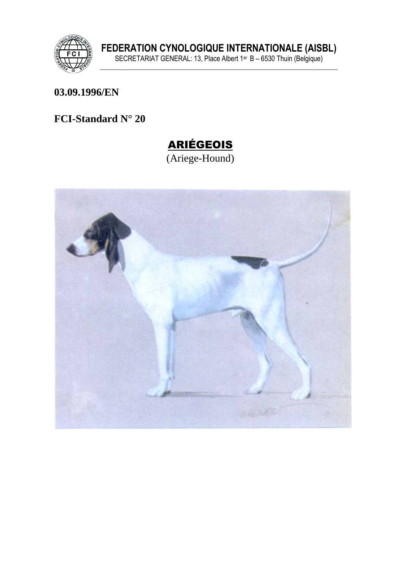

FEDERATION CYNOLOGIQUE INTERNATIONALE (AISBL)<br>SECRETARIAT GENERAL: 13, Place Albert 1<sup>er</sup> B – 6530 Thuin (Belgique)

#### 03.09.1996/EN

FCI-Standard N° 20

# **ARIÉGEOIS**

(Ariege-Hound)

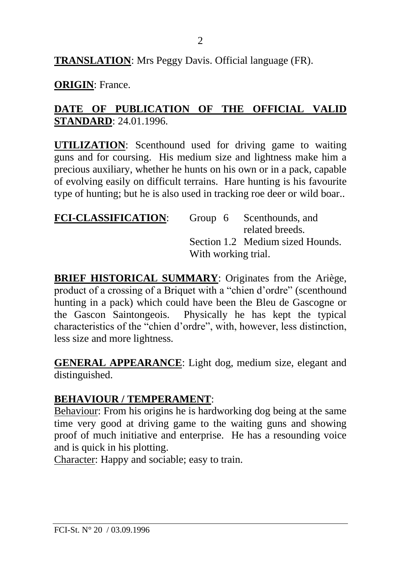**TRANSLATION**: Mrs Peggy Davis. Official language (FR).

**ORIGIN**: France.

## **DATE OF PUBLICATION OF THE OFFICIAL VALID STANDARD**: 24.01.1996.

**UTILIZATION**: Scenthound used for driving game to waiting guns and for coursing. His medium size and lightness make him a precious auxiliary, whether he hunts on his own or in a pack, capable of evolving easily on difficult terrains. Hare hunting is his favourite type of hunting; but he is also used in tracking roe deer or wild boar..

| <b>FCI-CLASSIFICATION:</b> |                     | Group 6 Scenthounds, and         |
|----------------------------|---------------------|----------------------------------|
|                            |                     | related breeds.                  |
|                            |                     | Section 1.2 Medium sized Hounds. |
|                            | With working trial. |                                  |

**BRIEF HISTORICAL SUMMARY**: Originates from the Ariège, product of a crossing of a Briquet with a "chien d'ordre" (scenthound hunting in a pack) which could have been the Bleu de Gascogne or the Gascon Saintongeois. Physically he has kept the typical characteristics of the "chien d'ordre", with, however, less distinction, less size and more lightness.

**GENERAL APPEARANCE**: Light dog, medium size, elegant and distinguished.

#### **BEHAVIOUR / TEMPERAMENT**:

Behaviour: From his origins he is hardworking dog being at the same time very good at driving game to the waiting guns and showing proof of much initiative and enterprise. He has a resounding voice and is quick in his plotting.

Character: Happy and sociable; easy to train.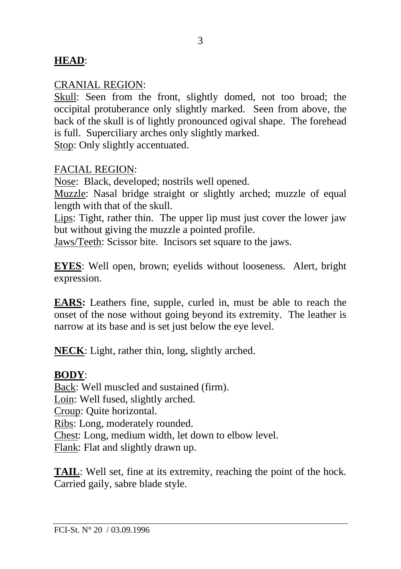## **HEAD**:

#### CRANIAL REGION:

Skull: Seen from the front, slightly domed, not too broad; the occipital protuberance only slightly marked. Seen from above, the back of the skull is of lightly pronounced ogival shape. The forehead is full. Superciliary arches only slightly marked.

Stop: Only slightly accentuated.

#### FACIAL REGION:

Nose: Black, developed; nostrils well opened.

Muzzle: Nasal bridge straight or slightly arched; muzzle of equal length with that of the skull.

Lips: Tight, rather thin. The upper lip must just cover the lower jaw but without giving the muzzle a pointed profile.

Jaws/Teeth: Scissor bite. Incisors set square to the jaws.

**EYES**: Well open, brown; eyelids without looseness. Alert, bright expression.

**EARS:** Leathers fine, supple, curled in, must be able to reach the onset of the nose without going beyond its extremity. The leather is narrow at its base and is set just below the eye level.

**NECK**: Light, rather thin, long, slightly arched.

#### **BODY**:

Back: Well muscled and sustained (firm). Loin: Well fused, slightly arched. Croup: Quite horizontal. Ribs: Long, moderately rounded. Chest: Long, medium width, let down to elbow level. Flank: Flat and slightly drawn up.

**TAIL**: Well set, fine at its extremity, reaching the point of the hock. Carried gaily, sabre blade style.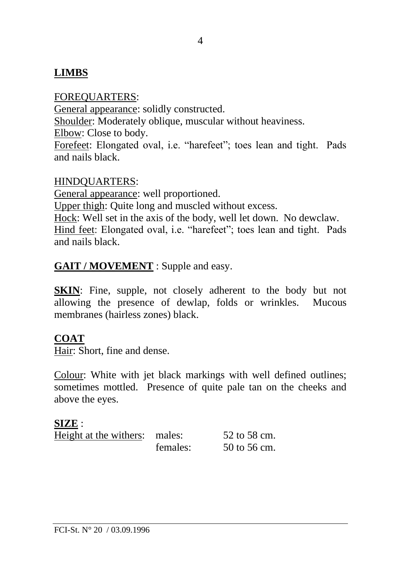# **LIMBS**

FOREQUARTERS: General appearance: solidly constructed. Shoulder: Moderately oblique, muscular without heaviness. Elbow: Close to body. Forefeet: Elongated oval, i.e. "harefeet"; toes lean and tight. Pads and nails black.

#### HINDQUARTERS:

General appearance: well proportioned. Upper thigh: Quite long and muscled without excess. Hock: Well set in the axis of the body, well let down. No dewclaw. Hind feet: Elongated oval, i.e. "harefeet"; toes lean and tight. Pads and nails black.

#### **GAIT / MOVEMENT** : Supple and easy.

**SKIN**: Fine, supple, not closely adherent to the body but not allowing the presence of dewlap, folds or wrinkles. Mucous membranes (hairless zones) black.

#### **COAT**

Hair: Short, fine and dense.

Colour: White with jet black markings with well defined outlines; sometimes mottled. Presence of quite pale tan on the cheeks and above the eyes.

#### **SIZE** :

| Height at the withers: males: |          | 52 to 58 cm. |
|-------------------------------|----------|--------------|
|                               | females: | 50 to 56 cm. |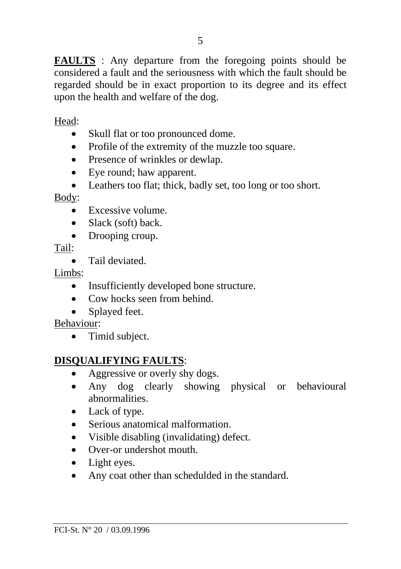**FAULTS** : Any departure from the foregoing points should be considered a fault and the seriousness with which the fault should be regarded should be in exact proportion to its degree and its effect upon the health and welfare of the dog.

Head:

- Skull flat or too pronounced dome.
- Profile of the extremity of the muzzle too square.
- Presence of wrinkles or dewlap.
- Eve round: haw apparent.
- Leathers too flat; thick, badly set, too long or too short.

#### Body:

- Excessive volume.
- Slack (soft) back.
- Drooping croup.

Tail:

• Tail deviated

Limbs:

- Insufficiently developed bone structure.
- Cow hocks seen from behind.
- Splayed feet.

#### Behaviour:

• Timid subject.

# **DISQUALIFYING FAULTS**:

- Aggressive or overly shy dogs.
- Any dog clearly showing physical or behavioural abnormalities.
- Lack of type.
- Serious anatomical malformation.
- Visible disabling (invalidating) defect.
- Over-or undershot mouth
- Light eyes.
- Any coat other than schedulded in the standard.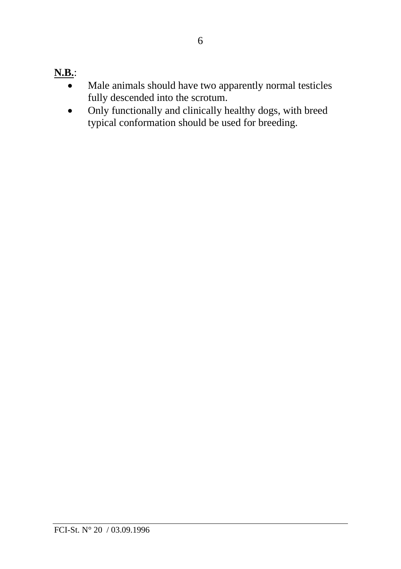# **N.B.**:

- Male animals should have two apparently normal testicles fully descended into the scrotum.
- Only functionally and clinically healthy dogs, with breed typical conformation should be used for breeding.